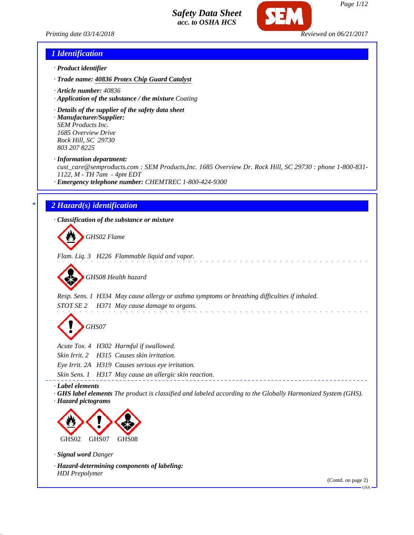

*Printing date 03/14/2018 Reviewed on 06/21/2017*

### *1 Identification*

- *· Product identifier*
- *· Trade name: 40836 Protex Chip Guard Catalyst*
- *· Article number: 40836*
- *· Application of the substance / the mixture Coating*
- *· Details of the supplier of the safety data sheet*
- *· Manufacturer/Supplier: SEM Products Inc. 1685 Overview Drive Rock Hill, SC 29730 803 207 8225*

*· Information department:*

*cust\_care@semproducts.com : SEM Products,Inc. 1685 Overview Dr. Rock Hill, SC 29730 : phone 1-800-831- 1122, M - TH 7am - 4pm EDT*

*· Emergency telephone number: CHEMTREC 1-800-424-9300*

### *\* 2 Hazard(s) identification*

*· Classification of the substance or mixture*

*GHS02 Flame*

*Flam. Liq. 3 H226 Flammable liquid and vapor.*



*Resp. Sens. 1 H334 May cause allergy or asthma symptoms or breathing difficulties if inhaled. STOT SE 2 H371 May cause damage to organs.*

*GHS07*

*Acute Tox. 4 H302 Harmful if swallowed.*

*Skin Irrit. 2 H315 Causes skin irritation.*

*Eye Irrit. 2A H319 Causes serious eye irritation.*

*Skin Sens. 1 H317 May cause an allergic skin reaction.*

*· Label elements*

*· GHS label elements The product is classified and labeled according to the Globally Harmonized System (GHS). · Hazard pictograms*



*· Signal word Danger*

*· Hazard-determining components of labeling: HDI Prepolymer*

(Contd. on page 2)

USA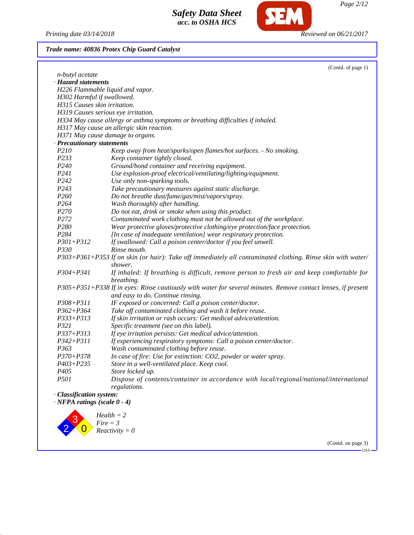2

 $\overline{0}$ 

*Fire = 3 Reactivity = 0*

*Printing date 03/14/2018 Reviewed on 06/21/2017*

**SEM** 

*Trade name: 40836 Protex Chip Guard Catalyst*

|                              | (Contd. of page 1)                                                                                                     |
|------------------------------|------------------------------------------------------------------------------------------------------------------------|
| n-butyl acetate              |                                                                                                                        |
| · Hazard statements          |                                                                                                                        |
|                              | H226 Flammable liquid and vapor.                                                                                       |
| H302 Harmful if swallowed.   |                                                                                                                        |
| H315 Causes skin irritation. |                                                                                                                        |
|                              | H319 Causes serious eye irritation.                                                                                    |
|                              | H334 May cause allergy or asthma symptoms or breathing difficulties if inhaled.                                        |
|                              | H317 May cause an allergic skin reaction.                                                                              |
|                              | H371 May cause damage to organs.                                                                                       |
| · Precautionary statements   |                                                                                                                        |
| P210                         | Keep away from heat/sparks/open flames/hot surfaces. - No smoking.                                                     |
| P233                         | Keep container tightly closed.                                                                                         |
| P240                         | Ground/bond container and receiving equipment.                                                                         |
| P241                         | Use explosion-proof electrical/ventilating/lighting/equipment.                                                         |
| P242                         | Use only non-sparking tools.                                                                                           |
| P <sub>243</sub>             | Take precautionary measures against static discharge.                                                                  |
| P260                         | Do not breathe dust/fume/gas/mist/vapors/spray.                                                                        |
| P <sub>264</sub>             | Wash thoroughly after handling.                                                                                        |
| P <sub>270</sub>             | Do not eat, drink or smoke when using this product.                                                                    |
| P <sub>272</sub>             | Contaminated work clothing must not be allowed out of the workplace.                                                   |
| P280                         | Wear protective gloves/protective clothing/eye protection/face protection.                                             |
| P284                         | [In case of inadequate ventilation] wear respiratory protection.                                                       |
| $P301 + P312$                | If swallowed: Call a poison center/doctor if you feel unwell.                                                          |
| P330                         | Rinse mouth.                                                                                                           |
|                              | P303+P361+P353 If on skin (or hair): Take off immediately all contaminated clothing. Rinse skin with water/<br>shower. |
| $P304 + P341$                | If inhaled: If breathing is difficult, remove person to fresh air and keep comfortable for<br>breathing.               |
|                              | P305+P351+P338 If in eyes: Rinse cautiously with water for several minutes. Remove contact lenses, if present          |
|                              | and easy to do. Continue rinsing.                                                                                      |
| $P308 + P311$                | IF exposed or concerned: Call a poison center/doctor.                                                                  |
| $P362 + P364$                | Take off contaminated clothing and wash it before reuse.                                                               |
| $P333 + P313$                | If skin irritation or rash occurs: Get medical advice/attention.                                                       |
| P321                         | Specific treatment (see on this label).                                                                                |
| $P337 + P313$                | If eye irritation persists: Get medical advice/attention.                                                              |
| $P342 + P311$                | If experiencing respiratory symptoms: Call a poison center/doctor.                                                     |
| P <sub>363</sub>             | Wash contaminated clothing before reuse.                                                                               |
| $P370 + P378$                | In case of fire: Use for extinction: CO2, powder or water spray.                                                       |
| $P403 + P235$                | Store in a well-ventilated place. Keep cool.                                                                           |
| P <sub>405</sub>             | Store locked up.                                                                                                       |
| P501                         | Dispose of contents/container in accordance with local/regional/national/international                                 |
|                              | regulations.                                                                                                           |
|                              |                                                                                                                        |
| · Classification system:     |                                                                                                                        |

(Contd. on page 3)  $-<sub>USA</sub>$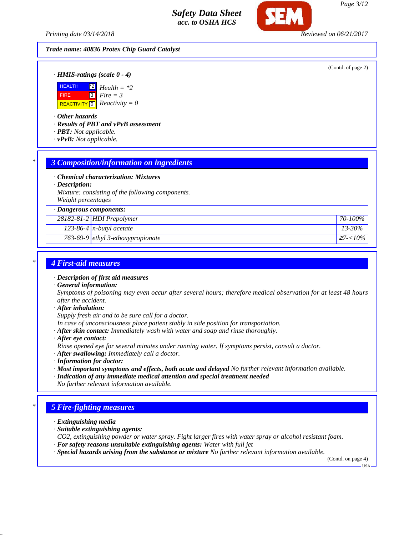*Printing date 03/14/2018 Reviewed on 06/21/2017*

### *Trade name: 40836 Protex Chip Guard Catalyst*

(Contd. of page 2)

*· HMIS-ratings (scale 0 - 4)*



*· Other hazards*

*· Results of PBT and vPvB assessment*

- *· PBT: Not applicable.*
- *· vPvB: Not applicable.*

### *\* 3 Composition/information on ingredients*

*· Chemical characterization: Mixtures*

*· Description:*

*Mixture: consisting of the following components. Weight percentages*

*· Dangerous components: 28182-81-2 HDI Prepolymer 70-100% 123-86-4 n-butyl acetate 13-30% 763-69-9 ethyl 3-ethoxypropionate* <sup>≥</sup>*7-<10%*

### *\* 4 First-aid measures*

*· Description of first aid measures*

*· General information:*

*Symptoms of poisoning may even occur after several hours; therefore medical observation for at least 48 hours after the accident.*

*· After inhalation:*

*Supply fresh air and to be sure call for a doctor.*

- *In case of unconsciousness place patient stably in side position for transportation.*
- *· After skin contact: Immediately wash with water and soap and rinse thoroughly.*
- *· After eye contact:*

*Rinse opened eye for several minutes under running water. If symptoms persist, consult a doctor.*

- *· After swallowing: Immediately call a doctor.*
- *· Information for doctor:*
- *· Most important symptoms and effects, both acute and delayed No further relevant information available.*
- *· Indication of any immediate medical attention and special treatment needed No further relevant information available.*

# *\* 5 Fire-fighting measures*

- *· Extinguishing media*
- *· Suitable extinguishing agents:*
- *CO2, extinguishing powder or water spray. Fight larger fires with water spray or alcohol resistant foam. · For safety reasons unsuitable extinguishing agents: Water with full jet*
- *· Special hazards arising from the substance or mixture No further relevant information available.*

(Contd. on page 4)

USA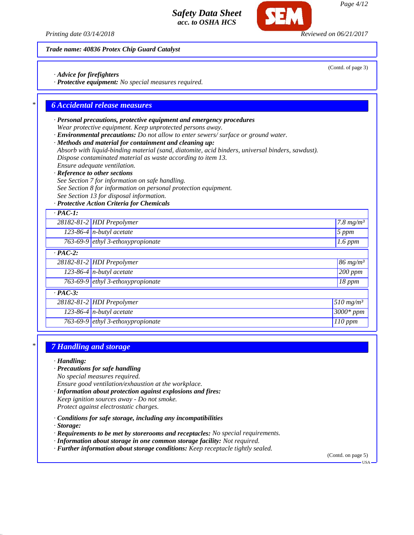*Printing date 03/14/2018 Reviewed on 06/21/2017*

*Trade name: 40836 Protex Chip Guard Catalyst*

*· Advice for firefighters*

*· Protective equipment: No special measures required.*

### *\* 6 Accidental release measures*

- *· Personal precautions, protective equipment and emergency procedures Wear protective equipment. Keep unprotected persons away.*
- *· Environmental precautions: Do not allow to enter sewers/ surface or ground water.*
- *· Methods and material for containment and cleaning up:*
- *Absorb with liquid-binding material (sand, diatomite, acid binders, universal binders, sawdust). Dispose contaminated material as waste according to item 13.*
- *Ensure adequate ventilation.*
- *· Reference to other sections*
- *See Section 7 for information on safe handling.*
- *See Section 8 for information on personal protection equipment.*
- *See Section 13 for disposal information.*

### *· Protective Action Criteria for Chemicals*

| $\cdot$ PAC-1: |                                             |                                    |
|----------------|---------------------------------------------|------------------------------------|
|                | 28182-81-2 HDI Prepolymer                   | 7.8 $mg/m^3$                       |
|                | $123-86-4$ n-butyl acetate                  | $5$ ppm                            |
|                | 763-69-9 ethyl 3-ethoxypropionate           | $1.6$ ppm                          |
| $\cdot$ PAC-2: |                                             |                                    |
|                | 28182-81-2 HDI Prepolymer                   | $86$ mg/m <sup>3</sup>             |
|                | $123-86-4$ n-butyl acetate                  | 200 ppm                            |
|                | 763-69-9 $\epsilon$ thyl 3-ethoxypropionate | $18$ ppm                           |
| $\cdot$ PAC-3: |                                             |                                    |
|                | 28182-81-2 HDI Prepolymer                   | $\overline{5}10$ mg/m <sup>3</sup> |
|                | 123-86-4 $n$ -butyl acetate                 | $3000*$ ppm                        |
|                | 763-69-9 $\epsilon$ thyl 3-ethoxypropionate | $110$ ppm                          |

### *\* 7 Handling and storage*

*· Handling:*

*· Precautions for safe handling*

*No special measures required.*

*Ensure good ventilation/exhaustion at the workplace.*

- *· Information about protection against explosions and fires: Keep ignition sources away - Do not smoke. Protect against electrostatic charges.*
- *· Conditions for safe storage, including any incompatibilities*

*· Storage:*

- *· Requirements to be met by storerooms and receptacles: No special requirements.*
- *· Information about storage in one common storage facility: Not required.*
- *· Further information about storage conditions: Keep receptacle tightly sealed.*

(Contd. on page 5)

(Contd. of page 3)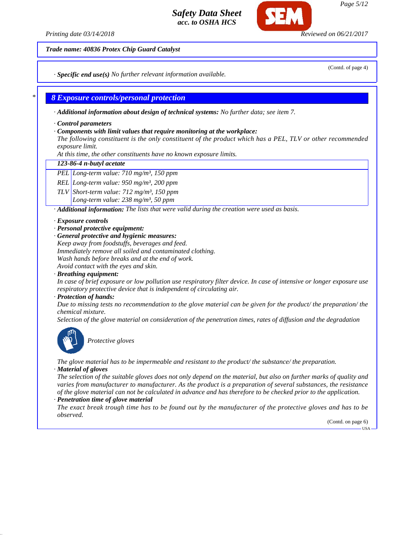*Printing date 03/14/2018 Reviewed on 06/21/2017*

*Trade name: 40836 Protex Chip Guard Catalyst*

(Contd. of page 4)

*· Specific end use(s) No further relevant information available.*

### *\* 8 Exposure controls/personal protection*

*· Additional information about design of technical systems: No further data; see item 7.*

*· Control parameters*

### *· Components with limit values that require monitoring at the workplace:*

*The following constituent is the only constituent of the product which has a PEL, TLV or other recommended exposure limit.*

*At this time, the other constituents have no known exposure limits.*

### *123-86-4 n-butyl acetate*

*PEL Long-term value: 710 mg/m³, 150 ppm*

*REL Long-term value: 950 mg/m³, 200 ppm*

*TLV Short-term value: 712 mg/m³, 150 ppm*

*Long-term value: 238 mg/m³, 50 ppm*

*· Additional information: The lists that were valid during the creation were used as basis.*

### *· Exposure controls*

- *· Personal protective equipment:*
- *· General protective and hygienic measures:*

*Keep away from foodstuffs, beverages and feed. Immediately remove all soiled and contaminated clothing. Wash hands before breaks and at the end of work. Avoid contact with the eyes and skin.*

*· Breathing equipment:*

*In case of brief exposure or low pollution use respiratory filter device. In case of intensive or longer exposure use respiratory protective device that is independent of circulating air.*

### *· Protection of hands:*

*Due to missing tests no recommendation to the glove material can be given for the product/ the preparation/ the chemical mixture.*

*Selection of the glove material on consideration of the penetration times, rates of diffusion and the degradation*



*Protective gloves*

*The glove material has to be impermeable and resistant to the product/ the substance/ the preparation. · Material of gloves*

*The selection of the suitable gloves does not only depend on the material, but also on further marks of quality and varies from manufacturer to manufacturer. As the product is a preparation of several substances, the resistance of the glove material can not be calculated in advance and has therefore to be checked prior to the application.*

### *· Penetration time of glove material*

*The exact break trough time has to be found out by the manufacturer of the protective gloves and has to be observed.*

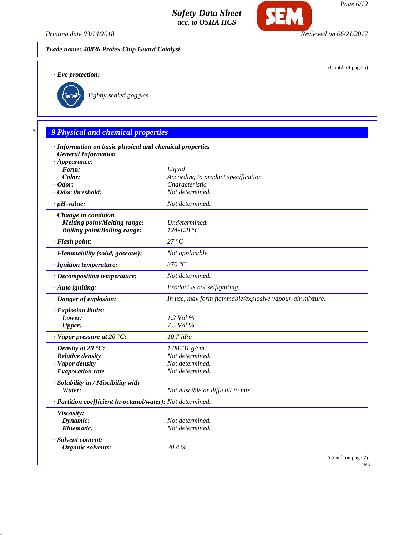

**SEM** 

*Trade name: 40836 Protex Chip Guard Catalyst*

*· Eye protection:*

(Contd. of page 5)



*Tightly sealed goggles*

# *\* 9 Physical and chemical properties*

| · Information on basic physical and chemical properties    |                                                          |
|------------------------------------------------------------|----------------------------------------------------------|
| <b>General Information</b>                                 |                                                          |
| $\cdot$ Appearance:                                        |                                                          |
| Form:                                                      | Liquid                                                   |
| Color:                                                     | According to product specification                       |
| $\cdot$ Odor:                                              | Characteristic                                           |
| · Odor threshold:                                          | Not determined.                                          |
| $\cdot$ pH-value:                                          | Not determined.                                          |
| · Change in condition                                      |                                                          |
| <b>Melting point/Melting range:</b>                        | Undetermined.                                            |
| <b>Boiling point/Boiling range:</b>                        | $124 - 128 °C$                                           |
| · Flash point:                                             | 27 °C                                                    |
| · Flammability (solid, gaseous):                           | Not applicable.                                          |
| · Ignition temperature:                                    | 370 °C                                                   |
| · Decomposition temperature:                               | Not determined.                                          |
| $\cdot$ Auto igniting:                                     | Product is not selfigniting.                             |
| · Danger of explosion:                                     | In use, may form flammable/explosive vapour-air mixture. |
| · Explosion limits:                                        |                                                          |
| Lower:                                                     | 1.2 Vol %                                                |
| <b>Upper:</b>                                              | 7.5 Vol %                                                |
| $\cdot$ Vapor pressure at 20 $\cdot$ C:                    | $10.7$ $hPa$                                             |
| $\cdot$ Density at 20 $\textdegree$ C:                     | $1.08231$ g/cm <sup>3</sup>                              |
| · Relative density                                         | Not determined.                                          |
| · Vapor density                                            | Not determined.                                          |
| · Evaporation rate                                         | Not determined.                                          |
| · Solubility in / Miscibility with                         |                                                          |
| Water:                                                     | Not miscible or difficult to mix.                        |
| · Partition coefficient (n-octanol/water): Not determined. |                                                          |
| · Viscosity:                                               |                                                          |
| Dynamic:                                                   | Not determined.                                          |
| Kinematic:                                                 | Not determined.                                          |
| · Solvent content:                                         |                                                          |
| Organic solvents:                                          | 20.4%                                                    |
|                                                            | (Contd. on page 7)                                       |
|                                                            | - USA -                                                  |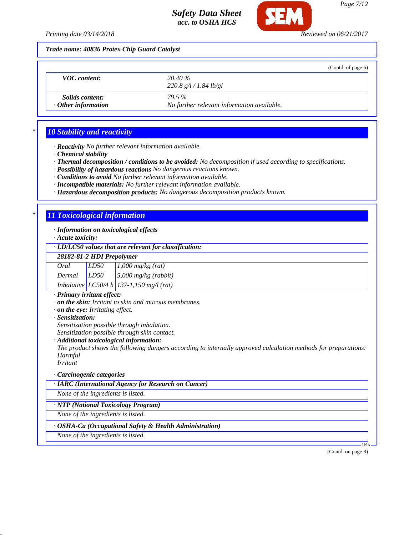

*Trade name: 40836 Protex Chip Guard Catalyst*

|                                                     |                                                            | (Contd. of page $6$ ) |
|-----------------------------------------------------|------------------------------------------------------------|-----------------------|
| <b>VOC</b> content:                                 | 20.40 %<br>220.8 g/l / 1.84 lb/gl                          |                       |
| <i>Solids content:</i><br>$\cdot$ Other information | <b>79.5%</b><br>No further relevant information available. |                       |

## *\* 10 Stability and reactivity*

*· Reactivity No further relevant information available.*

*· Chemical stability*

*· Thermal decomposition / conditions to be avoided: No decomposition if used according to specifications.*

*· Possibility of hazardous reactions No dangerous reactions known.*

*· Conditions to avoid No further relevant information available.*

*· Incompatible materials: No further relevant information available.*

*· Hazardous decomposition products: No dangerous decomposition products known.*

### *\* 11 Toxicological information*

*· Information on toxicological effects*

*· Acute toxicity:*

### *· LD/LC50 values that are relevant for classification:*

*28182-81-2 HDI Prepolymer*

| Oral   | LD50 | $1,000$ mg/kg (rat)                        |
|--------|------|--------------------------------------------|
| Dermal | LD50 | $5,000$ mg/kg (rabbit)                     |
|        |      | Inhalative $LC50/4 h$ 137-1,150 mg/l (rat) |

### *· Primary irritant effect:*

*· on the skin: Irritant to skin and mucous membranes.*

*· on the eye: Irritating effect.*

*· Sensitization:*

*Sensitization possible through inhalation.*

*Sensitization possible through skin contact.*

#### *· Additional toxicological information:*

*The product shows the following dangers according to internally approved calculation methods for preparations: Harmful*

*Irritant*

### *· Carcinogenic categories*

*· IARC (International Agency for Research on Cancer)*

*None of the ingredients is listed.*

### *· NTP (National Toxicology Program)*

*None of the ingredients is listed.*

### *· OSHA-Ca (Occupational Safety & Health Administration)*

*None of the ingredients is listed.*

USA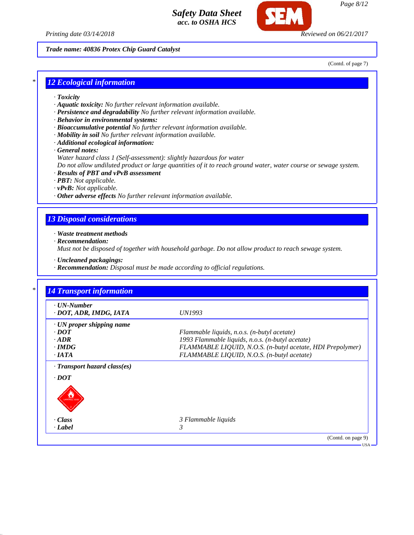



*Page 8/12*

*Trade name: 40836 Protex Chip Guard Catalyst*

(Contd. of page 7)

# *\* 12 Ecological information*

- *· Toxicity*
- *· Aquatic toxicity: No further relevant information available.*
- *· Persistence and degradability No further relevant information available.*
- *· Behavior in environmental systems:*
- *· Bioaccumulative potential No further relevant information available.*
- *· Mobility in soil No further relevant information available.*
- *· Additional ecological information:*
- *· General notes:*
- *Water hazard class 1 (Self-assessment): slightly hazardous for water*

*Do not allow undiluted product or large quantities of it to reach ground water, water course or sewage system.*

- *· Results of PBT and vPvB assessment*
- *· PBT: Not applicable.*
- *· vPvB: Not applicable.*
- *· Other adverse effects No further relevant information available.*

# *13 Disposal considerations*

*· Waste treatment methods*

*· Recommendation:*

*Must not be disposed of together with household garbage. Do not allow product to reach sewage system.*

- *· Uncleaned packagings:*
- *· Recommendation: Disposal must be made according to official regulations.*

| $\cdot$ UN-Number               |                                                            |
|---------------------------------|------------------------------------------------------------|
| · DOT, ADR, IMDG, IATA          | <i>UN1993</i>                                              |
| $\cdot$ UN proper shipping name |                                                            |
| $\cdot$ DOT                     | Flammable liquids, n.o.s. (n-butyl acetate)                |
| $-ADR$                          | 1993 Flammable liquids, n.o.s. (n-butyl acetate)           |
| $\cdot$ IMDG                    | FLAMMABLE LIQUID, N.O.S. (n-butyl acetate, HDI Prepolymer) |
| $\cdot$ IATA                    | FLAMMABLE LIQUID, N.O.S. (n-butyl acetate)                 |
| · Transport hazard class(es)    |                                                            |
| $\cdot$ DOT                     |                                                            |
|                                 |                                                            |
|                                 |                                                            |
|                                 |                                                            |
| · Class                         | 3 Flammable liquids                                        |
| · Label                         | 3                                                          |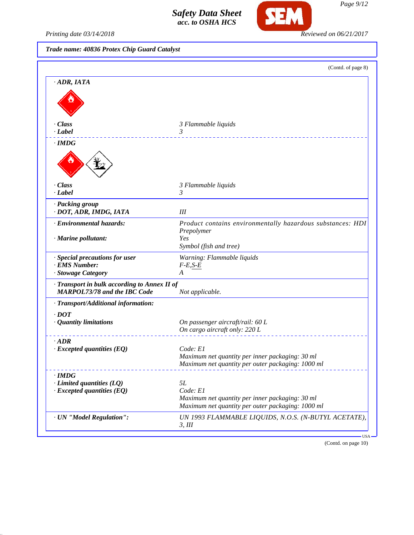

Printing date 03/14/2018 **Reviewed on 06/21/2017** 

# *Trade name: 40836 Protex Chip Guard Catalyst*

|                                                                                     | (Contd. of page 8)                                                                                                     |
|-------------------------------------------------------------------------------------|------------------------------------------------------------------------------------------------------------------------|
| $-ADR, IATA$                                                                        |                                                                                                                        |
|                                                                                     |                                                                                                                        |
| · Class<br>· Label                                                                  | 3 Flammable liquids<br>3                                                                                               |
| $\cdot$ IMDG                                                                        |                                                                                                                        |
|                                                                                     |                                                                                                                        |
| · Class<br>· Label                                                                  | 3 Flammable liquids<br>3                                                                                               |
| · Packing group<br>· DOT, ADR, IMDG, IATA                                           | III                                                                                                                    |
| · Environmental hazards:                                                            | Product contains environmentally hazardous substances: HDI<br>Prepolymer                                               |
| · Marine pollutant:                                                                 | Yes<br>Symbol (fish and tree)                                                                                          |
| · Special precautions for user<br><b>EMS Number:</b><br>· Stowage Category          | Warning: Flammable liquids<br>$F-E, S-E$<br>A                                                                          |
| Transport in bulk according to Annex II of<br><b>MARPOL73/78 and the IBC Code</b>   | Not applicable.                                                                                                        |
| · Transport/Additional information:                                                 |                                                                                                                        |
| $\cdot$ DOT<br>· Quantity limitations                                               | On passenger aircraft/rail: 60 L<br>On cargo aircraft only: 220 L                                                      |
| $\cdot$ <i>ADR</i><br>$\cdot$ Excepted quantities (EQ)                              | Code: E1<br>Maximum net quantity per inner packaging: 30 ml<br>Maximum net quantity per outer packaging: 1000 ml       |
| $\cdot$ IMDG<br>$\cdot$ Limited quantities (LQ)<br>$\cdot$ Excepted quantities (EQ) | 5L<br>Code: E1<br>Maximum net quantity per inner packaging: 30 ml<br>Maximum net quantity per outer packaging: 1000 ml |
|                                                                                     | UN 1993 FLAMMABLE LIQUIDS, N.O.S. (N-BUTYL ACETATE),                                                                   |

(Contd. on page 10)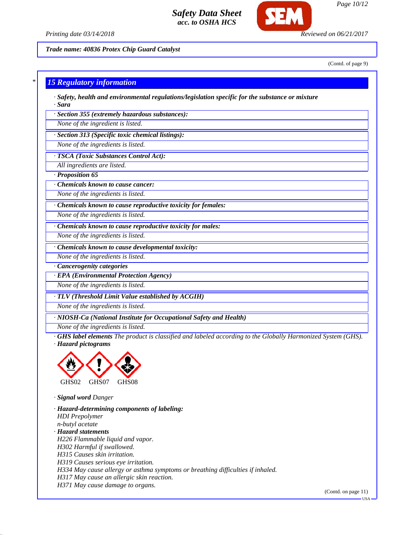

*Printing date 03/14/2018 Reviewed on 06/21/2017*

*Trade name: 40836 Protex Chip Guard Catalyst*

(Contd. of page 9)

*Page 10/12*

### *\* 15 Regulatory information*

*· Safety, health and environmental regulations/legislation specific for the substance or mixture · Sara*

*· Section 355 (extremely hazardous substances):*

*None of the ingredient is listed.*

*· Section 313 (Specific toxic chemical listings):*

*None of the ingredients is listed.*

*· TSCA (Toxic Substances Control Act):*

*All ingredients are listed.*

*· Proposition 65*

*· Chemicals known to cause cancer:*

*None of the ingredients is listed.*

*· Chemicals known to cause reproductive toxicity for females:*

*None of the ingredients is listed.*

*· Chemicals known to cause reproductive toxicity for males:*

*None of the ingredients is listed.*

*· Chemicals known to cause developmental toxicity:*

*None of the ingredients is listed.*

*· Cancerogenity categories*

*· EPA (Environmental Protection Agency)*

*None of the ingredients is listed.*

*· TLV (Threshold Limit Value established by ACGIH)*

*None of the ingredients is listed.*

*· NIOSH-Ca (National Institute for Occupational Safety and Health)*

*None of the ingredients is listed.*

*· GHS label elements The product is classified and labeled according to the Globally Harmonized System (GHS). · Hazard pictograms*



*· Signal word Danger*

*· Hazard-determining components of labeling: HDI Prepolymer n-butyl acetate · Hazard statements H226 Flammable liquid and vapor. H302 Harmful if swallowed. H315 Causes skin irritation. H319 Causes serious eye irritation. H334 May cause allergy or asthma symptoms or breathing difficulties if inhaled. H317 May cause an allergic skin reaction. H371 May cause damage to organs.*

(Contd. on page 11)

USA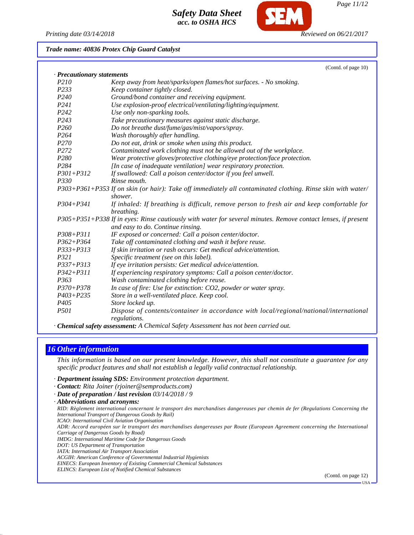

*Page 11/12*

*Trade name: 40836 Protex Chip Guard Catalyst*

|                          | (Contd. of page 10)                                                                                           |
|--------------------------|---------------------------------------------------------------------------------------------------------------|
| Precautionary statements |                                                                                                               |
| P <sub>210</sub>         | Keep away from heat/sparks/open flames/hot surfaces. - No smoking.                                            |
| P233                     | Keep container tightly closed.                                                                                |
| P <sub>240</sub>         | Ground/bond container and receiving equipment.                                                                |
| P241                     | Use explosion-proof electrical/ventilating/lighting/equipment.                                                |
| P <sub>242</sub>         | Use only non-sparking tools.                                                                                  |
| P <sub>243</sub>         | Take precautionary measures against static discharge.                                                         |
| P <sub>260</sub>         | Do not breathe dust/fume/gas/mist/vapors/spray.                                                               |
| P264                     | Wash thoroughly after handling.                                                                               |
| P270                     | Do not eat, drink or smoke when using this product.                                                           |
| P <sub>272</sub>         | Contaminated work clothing must not be allowed out of the workplace.                                          |
| P <sub>280</sub>         | Wear protective gloves/protective clothing/eye protection/face protection.                                    |
| P <sub>284</sub>         | [In case of inadequate ventilation] wear respiratory protection.                                              |
| $P301 + P312$            | If swallowed: Call a poison center/doctor if you feel unwell.                                                 |
| P330                     | Rinse mouth.                                                                                                  |
|                          | P303+P361+P353 If on skin (or hair): Take off immediately all contaminated clothing. Rinse skin with water/   |
|                          | shower.                                                                                                       |
| $P304 + P341$            | If inhaled: If breathing is difficult, remove person to fresh air and keep comfortable for<br>breathing.      |
|                          | P305+P351+P338 If in eyes: Rinse cautiously with water for several minutes. Remove contact lenses, if present |
|                          | and easy to do. Continue rinsing.                                                                             |
| $P308 + P311$            | IF exposed or concerned: Call a poison center/doctor.                                                         |
| $P362 + P364$            | Take off contaminated clothing and wash it before reuse.                                                      |
| $P333 + P313$            | If skin irritation or rash occurs: Get medical advice/attention.                                              |
| P321                     | Specific treatment (see on this label).                                                                       |
| P337+P313                | If eye irritation persists: Get medical advice/attention.                                                     |
| $P342 + P311$            | If experiencing respiratory symptoms: Call a poison center/doctor.                                            |
| P <sub>363</sub>         | Wash contaminated clothing before reuse.                                                                      |
| $P370 + P378$            | In case of fire: Use for extinction: CO2, powder or water spray.                                              |
| $P403 + P235$            | Store in a well-ventilated place. Keep cool.                                                                  |
| P <sub>405</sub>         | Store locked up.                                                                                              |
| P501                     | Dispose of contents/container in accordance with local/regional/national/international                        |
|                          | regulations.                                                                                                  |

*· Chemical safety assessment: A Chemical Safety Assessment has not been carried out.*

# *16 Other information*

*This information is based on our present knowledge. However, this shall not constitute a guarantee for any specific product features and shall not establish a legally valid contractual relationship.*

- *· Department issuing SDS: Environment protection department.*
- *· Contact: Rita Joiner (rjoiner@semproducts.com)*
- *· Date of preparation / last revision 03/14/2018 / 9*
- *· Abbreviations and acronyms:*

*RID: Règlement international concernant le transport des marchandises dangereuses par chemin de fer (Regulations Concerning the International Transport of Dangerous Goods by Rail)*

- *ICAO: International Civil Aviation Organisation*
- *ADR: Accord européen sur le transport des marchandises dangereuses par Route (European Agreement concerning the International Carriage of Dangerous Goods by Road)*
- *IMDG: International Maritime Code for Dangerous Goods*
- *DOT: US Department of Transportation*
- *IATA: International Air Transport Association*
- *ACGIH: American Conference of Governmental Industrial Hygienists*
- *EINECS: European Inventory of Existing Commercial Chemical Substances*
- *ELINCS: European List of Notified Chemical Substances*

(Contd. on page 12)

USA